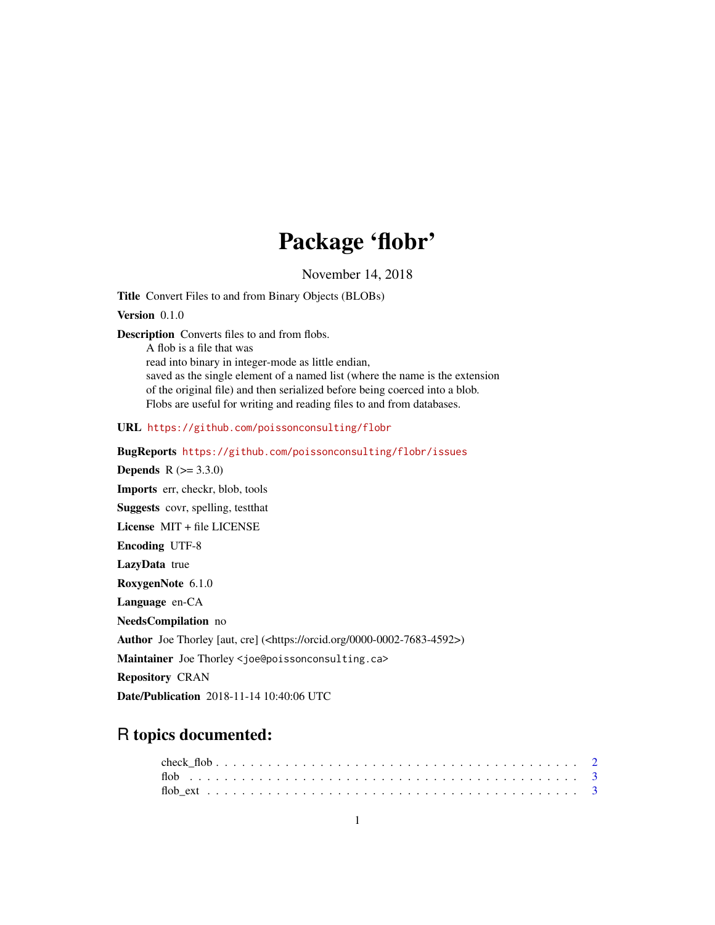# Package 'flobr'

November 14, 2018

<span id="page-0-0"></span>Title Convert Files to and from Binary Objects (BLOBs)

Version 0.1.0

Description Converts files to and from flobs.

A flob is a file that was read into binary in integer-mode as little endian, saved as the single element of a named list (where the name is the extension of the original file) and then serialized before being coerced into a blob.

Flobs are useful for writing and reading files to and from databases.

URL <https://github.com/poissonconsulting/flobr>

BugReports <https://github.com/poissonconsulting/flobr/issues>

**Depends**  $R (= 3.3.0)$ Imports err, checkr, blob, tools Suggests covr, spelling, testthat License MIT + file LICENSE Encoding UTF-8 LazyData true RoxygenNote 6.1.0 Language en-CA NeedsCompilation no Author Joe Thorley [aut, cre] (<https://orcid.org/0000-0002-7683-4592>) Maintainer Joe Thorley <joe@poissonconsulting.ca> Repository CRAN

Date/Publication 2018-11-14 10:40:06 UTC

# R topics documented: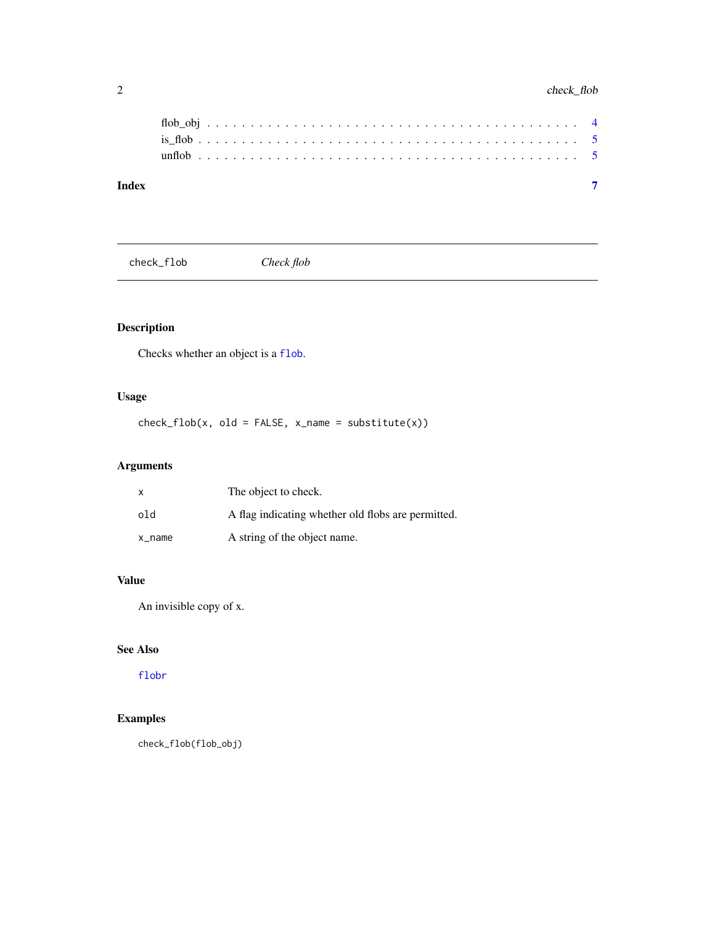<span id="page-1-0"></span>

| Index |  |  |  |  |  |  |  |  |  |  |  |  |  |  |  |  |  |  |  |  |
|-------|--|--|--|--|--|--|--|--|--|--|--|--|--|--|--|--|--|--|--|--|

check\_flob *Check flob*

# Description

Checks whether an object is a [flob](#page-2-1).

#### Usage

 $check_flob(x, old = FALSE, x_name = substitute(x))$ 

# Arguments

| X      | The object to check.                               |
|--------|----------------------------------------------------|
| old    | A flag indicating whether old flobs are permitted. |
| x name | A string of the object name.                       |

#### Value

An invisible copy of x.

# See Also

[flobr](#page-0-0)

#### Examples

check\_flob(flob\_obj)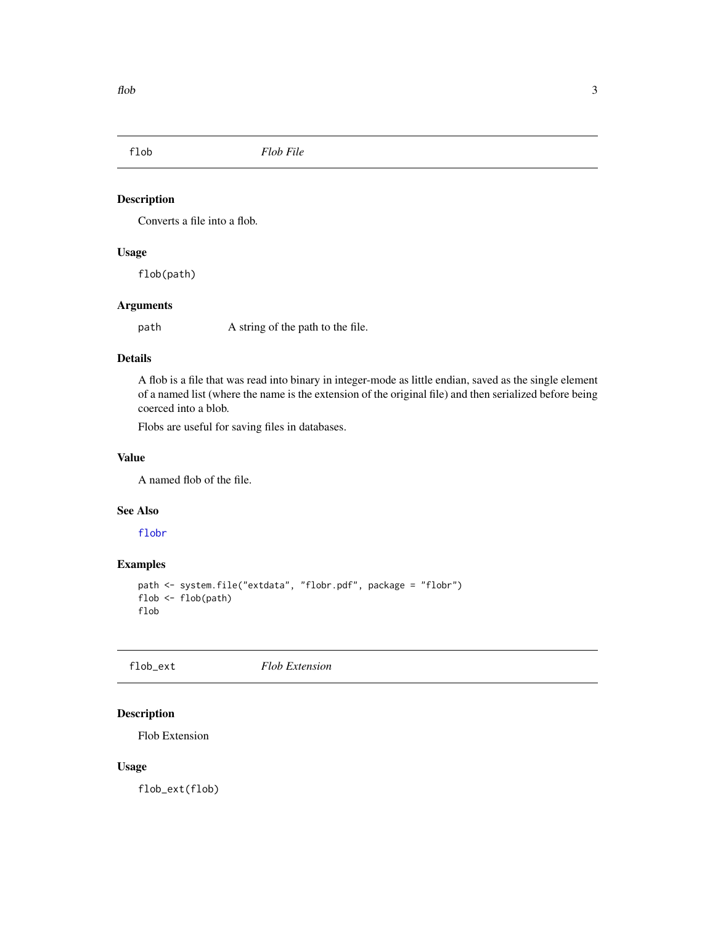<span id="page-2-1"></span><span id="page-2-0"></span>

#### Description

Converts a file into a flob.

#### Usage

flob(path)

#### Arguments

path A string of the path to the file.

#### Details

A flob is a file that was read into binary in integer-mode as little endian, saved as the single element of a named list (where the name is the extension of the original file) and then serialized before being coerced into a blob.

Flobs are useful for saving files in databases.

#### Value

A named flob of the file.

#### See Also

[flobr](#page-0-0)

#### Examples

```
path <- system.file("extdata", "flobr.pdf", package = "flobr")
flob <- flob(path)
flob
```
flob\_ext *Flob Extension*

#### Description

Flob Extension

#### Usage

flob\_ext(flob)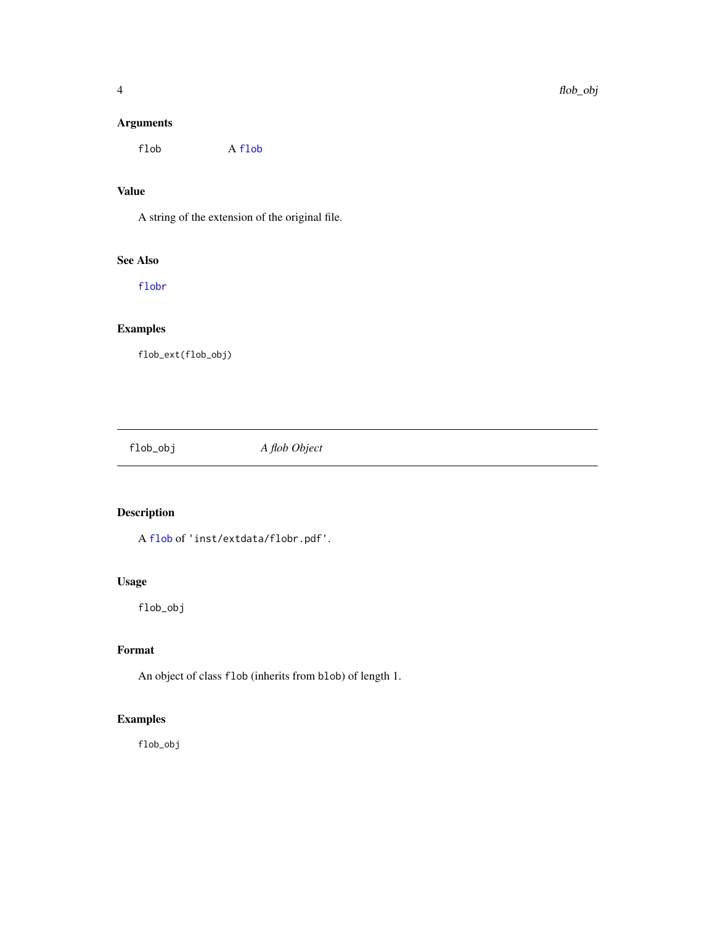#### <span id="page-3-0"></span>Arguments

flob A [flob](#page-2-1)

#### Value

A string of the extension of the original file.

#### See Also

[flobr](#page-0-0)

#### Examples

flob\_ext(flob\_obj)

flob\_obj *A flob Object*

#### Description

A [flob](#page-2-1) of 'inst/extdata/flobr.pdf'.

#### Usage

flob\_obj

#### Format

An object of class flob (inherits from blob) of length 1.

#### Examples

flob\_obj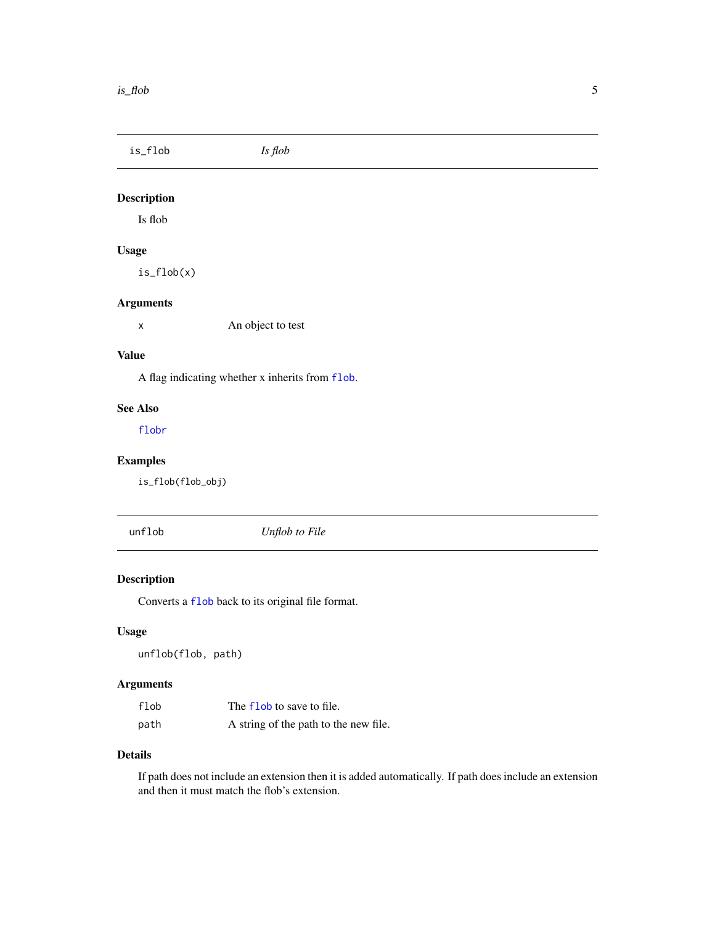<span id="page-4-0"></span>is\_flob *Is flob*

#### Description

Is flob

#### Usage

is\_flob(x)

#### Arguments

x An object to test

#### Value

A flag indicating whether x inherits from [flob](#page-2-1).

#### See Also

[flobr](#page-0-0)

#### Examples

is\_flob(flob\_obj)

unflob *Unflob to File*

#### Description

Converts a [flob](#page-2-1) back to its original file format.

### Usage

unflob(flob, path)

#### Arguments

| flob | The flob to save to file.             |
|------|---------------------------------------|
| path | A string of the path to the new file. |

#### Details

If path does not include an extension then it is added automatically. If path does include an extension and then it must match the flob's extension.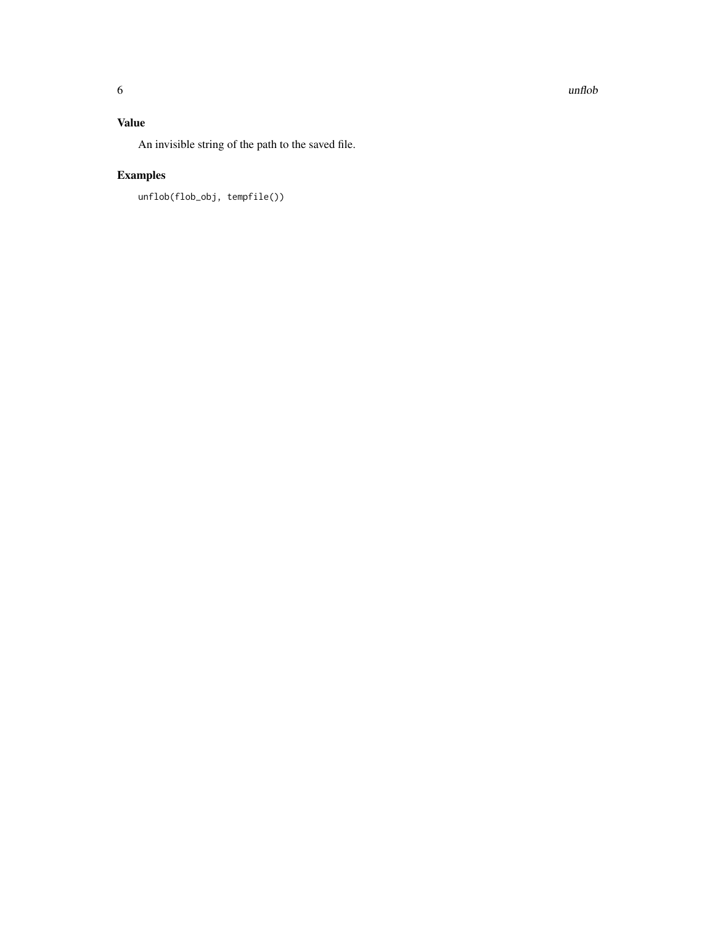#### Value

An invisible string of the path to the saved file.

# Examples

unflob(flob\_obj, tempfile())